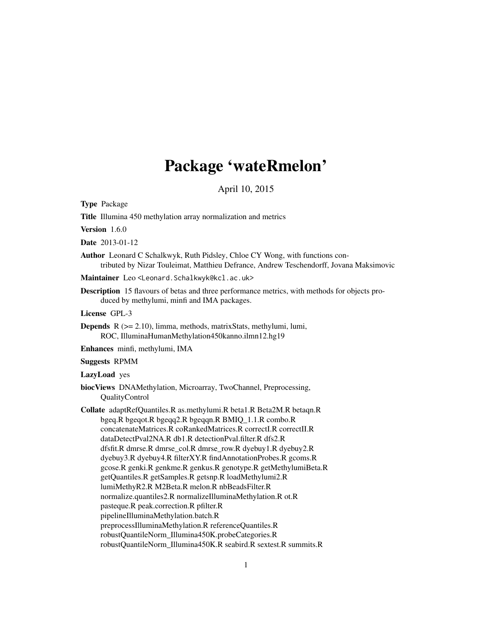# Package 'wateRmelon'

April 10, 2015

<span id="page-0-0"></span>Type Package

Title Illumina 450 methylation array normalization and metrics

Version 1.6.0

Date 2013-01-12

Author Leonard C Schalkwyk, Ruth Pidsley, Chloe CY Wong, with functions contributed by Nizar Touleimat, Matthieu Defrance, Andrew Teschendorff, Jovana Maksimovic

Maintainer Leo<Leonard.Schalkwyk@kcl.ac.uk>

Description 15 flavours of betas and three performance metrics, with methods for objects produced by methylumi, minfi and IMA packages.

License GPL-3

Depends R (>= 2.10), limma, methods, matrixStats, methylumi, lumi, ROC, IlluminaHumanMethylation450kanno.ilmn12.hg19

Enhances minfi, methylumi, IMA

Suggests RPMM

LazyLoad yes

biocViews DNAMethylation, Microarray, TwoChannel, Preprocessing, QualityControl

Collate adaptRefQuantiles.R as.methylumi.R beta1.R Beta2M.R betaqn.R bgeq.R bgeqot.R bgeqq2.R bgeqqn.R BMIQ\_1.1.R combo.R concatenateMatrices.R coRankedMatrices.R correctI.R correctII.R dataDetectPval2NA.R db1.R detectionPval.filter.R dfs2.R dfsfit.R dmrse.R dmrse\_col.R dmrse\_row.R dyebuy1.R dyebuy2.R dyebuy3.R dyebuy4.R filterXY.R findAnnotationProbes.R gcoms.R gcose.R genki.R genkme.R genkus.R genotype.R getMethylumiBeta.R getQuantiles.R getSamples.R getsnp.R loadMethylumi2.R lumiMethyR2.R M2Beta.R melon.R nbBeadsFilter.R normalize.quantiles2.R normalizeIlluminaMethylation.R ot.R pasteque.R peak.correction.R pfilter.R pipelineIlluminaMethylation.batch.R preprocessIlluminaMethylation.R referenceQuantiles.R robustQuantileNorm\_Illumina450K.probeCategories.R robustQuantileNorm\_Illumina450K.R seabird.R sextest.R summits.R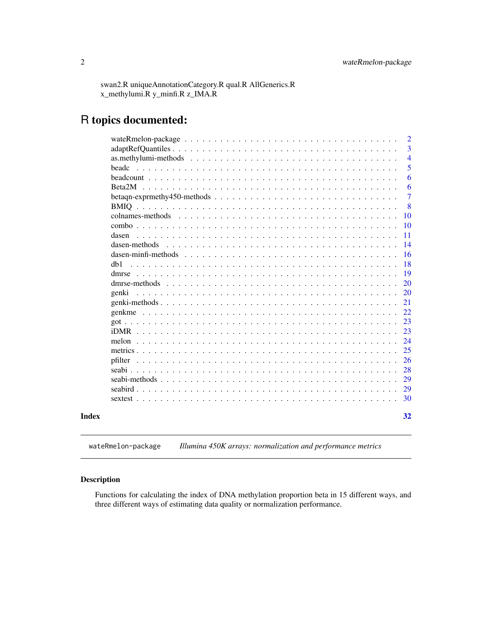<span id="page-1-0"></span>swan2.R uniqueAnnotationCategory.R qual.R AllGenerics.R x\_methylumi.R y\_minfi.R z\_IMA.R

# R topics documented:

|                                                                                                                                          | $\overline{2}$ |
|------------------------------------------------------------------------------------------------------------------------------------------|----------------|
|                                                                                                                                          | 3              |
|                                                                                                                                          | $\overline{4}$ |
| <b>headc</b>                                                                                                                             | 5              |
|                                                                                                                                          | 6              |
|                                                                                                                                          | 6              |
| betagn-exprmethy 450-methods $\ldots$ , $\ldots$ , $\ldots$ , $\ldots$ , $\ldots$ , $\ldots$ , $\ldots$ , $\ldots$ , $\ldots$ , $\ldots$ | $\overline{7}$ |
|                                                                                                                                          | 8              |
|                                                                                                                                          | 10             |
|                                                                                                                                          | 10             |
| dasen                                                                                                                                    | 11             |
| dasen-methods                                                                                                                            | 14             |
|                                                                                                                                          | 16             |
| dh1                                                                                                                                      | 18             |
| dmrse                                                                                                                                    | 19             |
|                                                                                                                                          | 20             |
| genki                                                                                                                                    | 20             |
|                                                                                                                                          | 21             |
|                                                                                                                                          | 22             |
|                                                                                                                                          | 23             |
|                                                                                                                                          | 23             |
| melon                                                                                                                                    | 24             |
|                                                                                                                                          | 25             |
| pfilter                                                                                                                                  | 26             |
|                                                                                                                                          | 28             |
|                                                                                                                                          | 29             |
|                                                                                                                                          | 29             |
|                                                                                                                                          | 30             |
|                                                                                                                                          |                |
|                                                                                                                                          | 32             |

wateRmelon-package *Illumina 450K arrays: normalization and performance metrics*

# Description

Functions for calculating the index of DNA methylation proportion beta in 15 different ways, and three different ways of estimating data quality or normalization performance.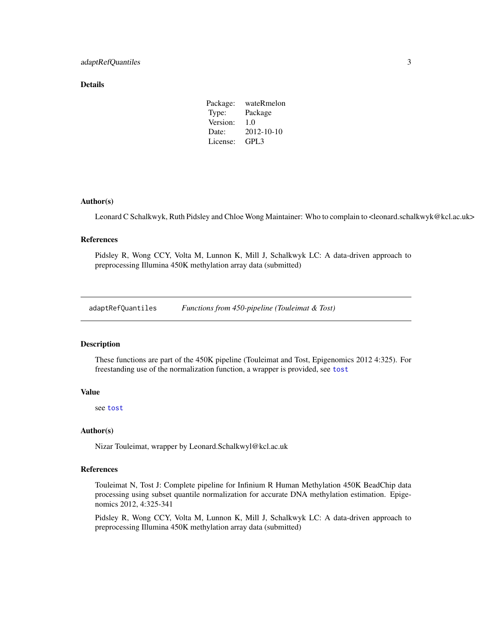#### <span id="page-2-0"></span>Details

| Package: | wateRmelon |
|----------|------------|
| Type:    | Package    |
| Version: | 1.0        |
| Date:    | 2012-10-10 |
| License: | GPL3       |

#### Author(s)

Leonard C Schalkwyk, Ruth Pidsley and Chloe Wong Maintainer: Who to complain to <leonard.schalkwyk@kcl.ac.uk>

#### References

Pidsley R, Wong CCY, Volta M, Lunnon K, Mill J, Schalkwyk LC: A data-driven approach to preprocessing Illumina 450K methylation array data (submitted)

adaptRefQuantiles *Functions from 450-pipeline (Touleimat & Tost)*

#### Description

These functions are part of the 450K pipeline (Touleimat and Tost, Epigenomics 2012 4:325). For freestanding use of the normalization function, a wrapper is provided, see [tost](#page-10-1)

#### Value

see [tost](#page-10-1)

#### Author(s)

Nizar Touleimat, wrapper by Leonard.Schalkwyl@kcl.ac.uk

# References

Touleimat N, Tost J: Complete pipeline for Infinium R Human Methylation 450K BeadChip data processing using subset quantile normalization for accurate DNA methylation estimation. Epigenomics 2012, 4:325-341

Pidsley R, Wong CCY, Volta M, Lunnon K, Mill J, Schalkwyk LC: A data-driven approach to preprocessing Illumina 450K methylation array data (submitted)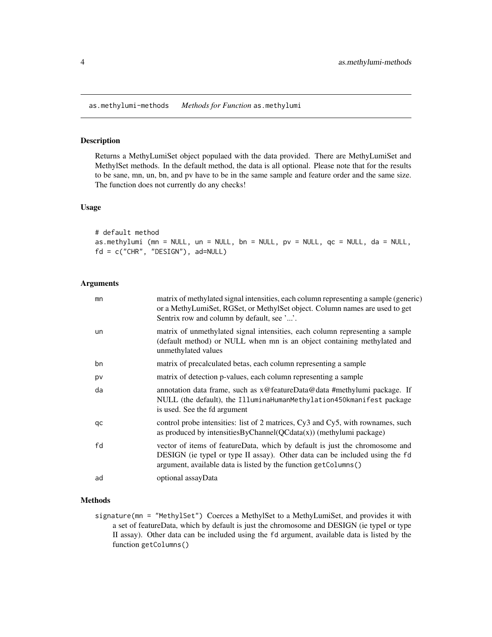<span id="page-3-0"></span>as.methylumi-methods *Methods for Function* as.methylumi

#### <span id="page-3-1"></span>Description

Returns a MethyLumiSet object populaed with the data provided. There are MethyLumiSet and MethylSet methods. In the default method, the data is all optional. Please note that for the results to be sane, mn, un, bn, and pv have to be in the same sample and feature order and the same size. The function does not currently do any checks!

# Usage

# default method as.methylumi (mn = NULL, un = NULL, bn = NULL, pv = NULL,  $qc = NULL$ ,  $da = NULL$ , fd = c("CHR", "DESIGN"), ad=NULL)

# Arguments

| mn | matrix of methylated signal intensities, each column representing a sample (generic)<br>or a MethyLumiSet, RGSet, or MethylSet object. Column names are used to get<br>Sentrix row and column by default, see ''.             |
|----|-------------------------------------------------------------------------------------------------------------------------------------------------------------------------------------------------------------------------------|
| un | matrix of unmethylated signal intensities, each column representing a sample<br>(default method) or NULL when mn is an object containing methylated and<br>unmethylated values                                                |
| bn | matrix of precalculated betas, each column representing a sample                                                                                                                                                              |
| pv | matrix of detection p-values, each column representing a sample                                                                                                                                                               |
| da | annotation data frame, such as x@featureData@data #methylumi package. If<br>NULL (the default), the IlluminaHumanMethylation450kmanifest package<br>is used. See the fd argument                                              |
| qc | control probe intensities: list of 2 matrices, Cy3 and Cy5, with rownames, such<br>as produced by intensities ByChannel $(QCdata(x))$ (methylumi package)                                                                     |
| fd | vector of items of featureData, which by default is just the chromosome and<br>DESIGN (ie typeI or type II assay). Other data can be included using the fd<br>argument, available data is listed by the function getColumns() |
| ad | optional assayData                                                                                                                                                                                                            |

# Methods

signature(mn = "MethylSet") Coerces a MethylSet to a MethyLumiSet, and provides it with a set of featureData, which by default is just the chromosome and DESIGN (ie typeI or type II assay). Other data can be included using the fd argument, available data is listed by the function getColumns()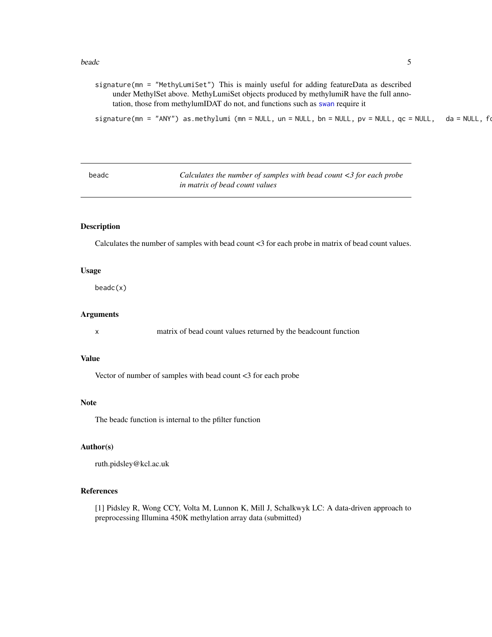#### <span id="page-4-0"></span>beadc 5 and 5 and 5 and 5 and 5 and 5 and 5 and 5 and 5 and 5 and 5 and 5 and 5 and 5 and 5 and 5 and 5 and 5 and 5 and 5 and 5 and 5 and 5 and 5 and 5 and 5 and 5 and 5 and 5 and 5 and 5 and 5 and 5 and 5 and 5 and 5 and

signature(mn = "MethyLumiSet") This is mainly useful for adding featureData as described under MethylSet above. MethyLumiSet objects produced by methylumiR have the full annotation, those from methylumIDAT do not, and functions such as [swan](#page-10-1) require it

```
signature(mn = "ANY") as.methylumi (mn = NULL, un = NULL, bn = NULL, pv = NULL, qc = NULL, da = NULL, fd
```

| beadc | Calculates the number of samples with bead count $\langle 3 \rangle$ for each probe |
|-------|-------------------------------------------------------------------------------------|
|       | in matrix of bead count values                                                      |

# Description

Calculates the number of samples with bead count <3 for each probe in matrix of bead count values.

#### Usage

beadc(x)

# Arguments

x matrix of bead count values returned by the beadcount function

#### Value

Vector of number of samples with bead count <3 for each probe

#### Note

The beadc function is internal to the pfilter function

# Author(s)

ruth.pidsley@kcl.ac.uk

# References

[1] Pidsley R, Wong CCY, Volta M, Lunnon K, Mill J, Schalkwyk LC: A data-driven approach to preprocessing Illumina 450K methylation array data (submitted)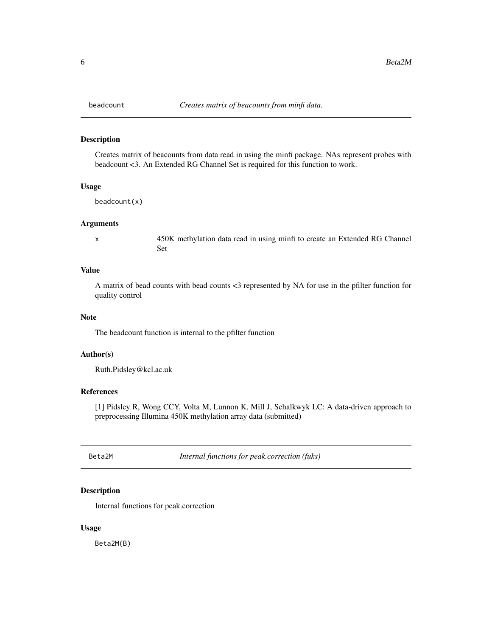#### Description

Creates matrix of beacounts from data read in using the minfi package. NAs represent probes with beadcount <3. An Extended RG Channel Set is required for this function to work.

#### Usage

beadcount(x)

#### Arguments

x 450K methylation data read in using minfi to create an Extended RG Channel Set

# Value

A matrix of bead counts with bead counts <3 represented by NA for use in the pfilter function for quality control

#### Note

The beadcount function is internal to the pfilter function

#### Author(s)

Ruth.Pidsley@kcl.ac.uk

# References

[1] Pidsley R, Wong CCY, Volta M, Lunnon K, Mill J, Schalkwyk LC: A data-driven approach to preprocessing Illumina 450K methylation array data (submitted)

Beta2M *Internal functions for peak.correction (fuks)*

# Description

Internal functions for peak.correction

#### Usage

Beta2M(B)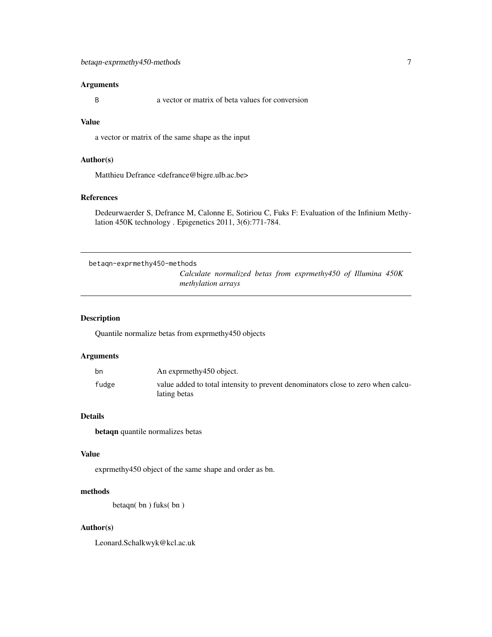# <span id="page-6-0"></span>Arguments

B a vector or matrix of beta values for conversion

# Value

a vector or matrix of the same shape as the input

# Author(s)

Matthieu Defrance <defrance@bigre.ulb.ac.be>

#### References

Dedeurwaerder S, Defrance M, Calonne E, Sotiriou C, Fuks F: Evaluation of the Infinium Methylation 450K technology . Epigenetics 2011, 3(6):771-784.

```
betaqn-exprmethy450-methods
                         Calculate normalized betas from exprmethy450 of Illumina 450K
                        methylation arrays
```
# Description

Quantile normalize betas from exprmethy450 objects

#### Arguments

| bn    | An exprmethy 450 object.                                                                         |
|-------|--------------------------------------------------------------------------------------------------|
| fudge | value added to total intensity to prevent denominators close to zero when calcu-<br>lating betas |

# Details

betaqn quantile normalizes betas

#### Value

exprmethy450 object of the same shape and order as bn.

# methods

betaqn( bn ) fuks( bn )

# Author(s)

Leonard.Schalkwyk@kcl.ac.uk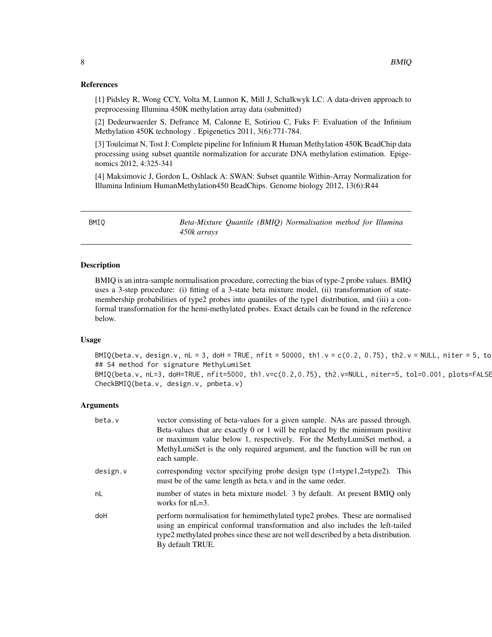#### <span id="page-7-0"></span>References

[1] Pidsley R, Wong CCY, Volta M, Lunnon K, Mill J, Schalkwyk LC: A data-driven approach to preprocessing Illumina 450K methylation array data (submitted)

[2] Dedeurwaerder S, Defrance M, Calonne E, Sotiriou C, Fuks F: Evaluation of the Infinium Methylation 450K technology . Epigenetics 2011, 3(6):771-784.

[3] Touleimat N, Tost J: Complete pipeline for Infinium R Human Methylation 450K BeadChip data processing using subset quantile normalization for accurate DNA methylation estimation. Epigenomics 2012, 4:325-341

[4] Maksimovic J, Gordon L, Oshlack A: SWAN: Subset quantile Within-Array Normalization for Illumina Infinium HumanMethylation450 BeadChips. Genome biology 2012, 13(6):R44

BMIQ *Beta-Mixture Quantile (BMIQ) Normalisation method for Illumina 450k arrays*

#### Description

BMIQ is an intra-sample normalisation procedure, correcting the bias of type-2 probe values. BMIQ uses a 3-step procedure: (i) fitting of a 3-state beta mixture model, (ii) transformation of statemembership probabilities of type2 probes into quantiles of the type1 distribution, and (iii) a conformal transformation for the hemi-methylated probes. Exact details can be found in the reference below.

# Usage

 $BMIQ(beta.v, design.v, nL = 3, doH = TRUE, nfit = 50000, th1.v = c(0.2, 0.75), th2.v = NULL, niter = 5, to$ ## S4 method for signature MethyLumiSet BMIQ(beta.v, nL=3, doH=TRUE, nfit=5000, th1.v=c(0.2,0.75), th2.v=NULL, niter=5, tol=0.001, plots=FALSE CheckBMIQ(beta.v, design.v, pnbeta.v)

#### Arguments

| beta.v   | vector consisting of beta-values for a given sample. NAs are passed through.<br>Beta-values that are exactly 0 or 1 will be replaced by the minimum positive<br>or maximum value below 1, respectively. For the MethyLumiSet method, a<br>MethyLumiSet is the only required argument, and the function will be run on<br>each sample. |
|----------|---------------------------------------------------------------------------------------------------------------------------------------------------------------------------------------------------------------------------------------------------------------------------------------------------------------------------------------|
| design.v | corresponding vector specifying probe design type $(1 = type1, 2 = type2)$ .<br>This<br>must be of the same length as beta. v and in the same order.                                                                                                                                                                                  |
| nL       | number of states in beta mixture model. 3 by default. At present BMIQ only<br>works for $nL=3$ .                                                                                                                                                                                                                                      |
| doH      | perform normalisation for hemimethylated type2 probes. These are normalised<br>using an empirical conformal transformation and also includes the left-tailed<br>type2 methylated probes since these are not well described by a beta distribution.<br>By default TRUE.                                                                |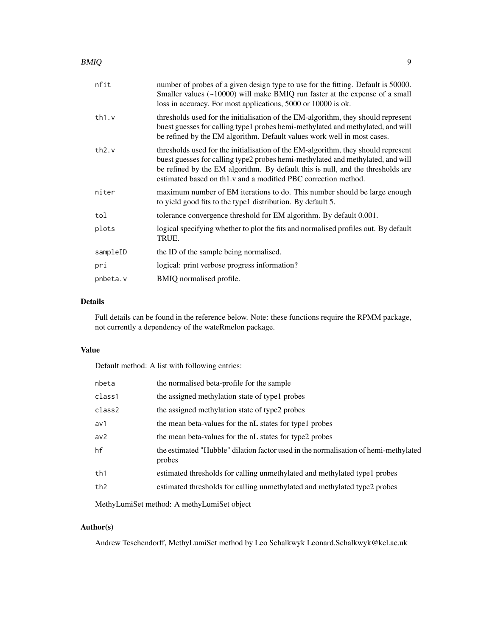#### BMIQ 2008 2009 9 2009 9 2009 9 2009 9 2009 9 2009 9 2009 9 2009 9 2009 9 2009 9 2009 9 2009 9 2009 9 2009 9 20

| nfit     | number of probes of a given design type to use for the fitting. Default is 50000.<br>Smaller values $(\sim 10000)$ will make BMIQ run faster at the expense of a small<br>loss in accuracy. For most applications, 5000 or 10000 is ok.                                                                                   |
|----------|---------------------------------------------------------------------------------------------------------------------------------------------------------------------------------------------------------------------------------------------------------------------------------------------------------------------------|
| th1.v    | thresholds used for the initialisation of the EM-algorithm, they should represent<br>buest guesses for calling type1 probes hemi-methylated and methylated, and will<br>be refined by the EM algorithm. Default values work well in most cases.                                                                           |
| th2.v    | thresholds used for the initialisation of the EM-algorithm, they should represent<br>buest guesses for calling type2 probes hemi-methylated and methylated, and will<br>be refined by the EM algorithm. By default this is null, and the thresholds are<br>estimated based on th1.v and a modified PBC correction method. |
| niter    | maximum number of EM iterations to do. This number should be large enough<br>to yield good fits to the type l distribution. By default 5.                                                                                                                                                                                 |
| tol      | tolerance convergence threshold for EM algorithm. By default 0.001.                                                                                                                                                                                                                                                       |
| plots    | logical specifying whether to plot the fits and normalised profiles out. By default<br>TRUE.                                                                                                                                                                                                                              |
| sampleID | the ID of the sample being normalised.                                                                                                                                                                                                                                                                                    |
| pri      | logical: print verbose progress information?                                                                                                                                                                                                                                                                              |
| pnbeta.v | BMIQ normalised profile.                                                                                                                                                                                                                                                                                                  |
|          |                                                                                                                                                                                                                                                                                                                           |

# Details

Full details can be found in the reference below. Note: these functions require the RPMM package, not currently a dependency of the wateRmelon package.

# Value

Default method: A list with following entries:

| nbeta  | the normalised beta-profile for the sample                                                    |
|--------|-----------------------------------------------------------------------------------------------|
| class1 | the assigned methylation state of type1 probes                                                |
| class2 | the assigned methylation state of type2 probes                                                |
| av1    | the mean beta-values for the nL states for type l probes                                      |
| av2    | the mean beta-values for the nL states for type2 probes                                       |
| hf     | the estimated "Hubble" dilation factor used in the normalisation of hemi-methylated<br>probes |
| th1    | estimated thresholds for calling unmethylated and methylated type1 probes                     |
| th2    | estimated thresholds for calling unmethylated and methylated type2 probes                     |
|        |                                                                                               |

MethyLumiSet method: A methyLumiSet object

# Author(s)

Andrew Teschendorff, MethyLumiSet method by Leo Schalkwyk Leonard.Schalkwyk@kcl.ac.uk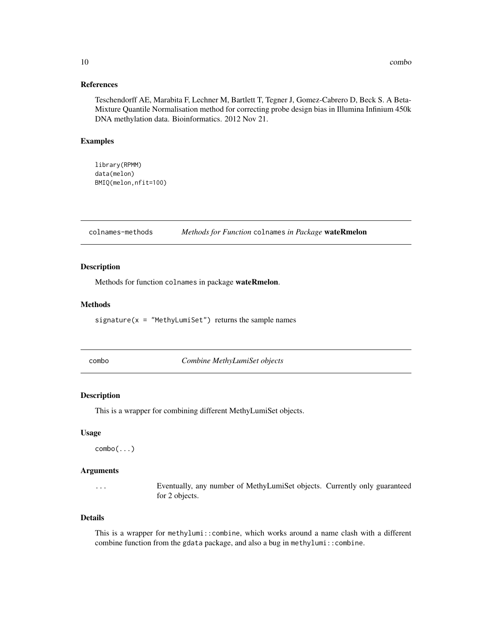#### <span id="page-9-0"></span>References

Teschendorff AE, Marabita F, Lechner M, Bartlett T, Tegner J, Gomez-Cabrero D, Beck S. A Beta-Mixture Quantile Normalisation method for correcting probe design bias in Illumina Infinium 450k DNA methylation data. Bioinformatics. 2012 Nov 21.

#### Examples

```
library(RPMM)
data(melon)
BMIQ(melon,nfit=100)
```
colnames-methods *Methods for Function* colnames *in Package* wateRmelon

#### Description

Methods for function colnames in package wateRmelon.

# Methods

signature( $x =$  "MethyLumiSet") returns the sample names

combo *Combine MethyLumiSet objects*

# Description

This is a wrapper for combining different MethyLumiSet objects.

#### Usage

```
combo(...)
```
#### Arguments

... Eventually, any number of MethyLumiSet objects. Currently only guaranteed for 2 objects.

## Details

This is a wrapper for methylumi::combine, which works around a name clash with a different combine function from the gdata package, and also a bug in methylumi::combine.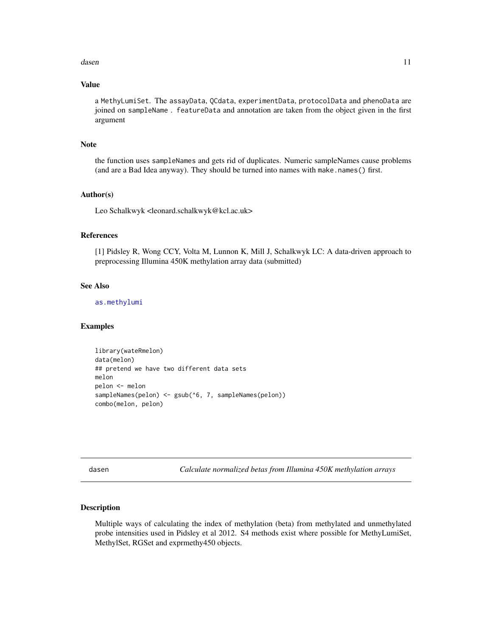#### <span id="page-10-0"></span>dasen 11 metal en die 19de eeu n.C. en die 19de eeu n.C. en die 11de eeu n.C. en die 11de eeu n.C. 11de eeu n.C. 11de eeu n.C. 11de eeu n.C. 11de eeu n.C. 11de eeu n.C. 11de eeu n.C. 11de eeu n.C. 11de eeu n.C. 11de eeu n.

# Value

a MethyLumiSet. The assayData, QCdata, experimentData, protocolData and phenoData are joined on sampleName . featureData and annotation are taken from the object given in the first argument

#### Note

the function uses sampleNames and gets rid of duplicates. Numeric sampleNames cause problems (and are a Bad Idea anyway). They should be turned into names with make.names() first.

#### Author(s)

Leo Schalkwyk <leonard.schalkwyk@kcl.ac.uk>

#### References

[1] Pidsley R, Wong CCY, Volta M, Lunnon K, Mill J, Schalkwyk LC: A data-driven approach to preprocessing Illumina 450K methylation array data (submitted)

#### See Also

[as.methylumi](#page-3-1)

#### Examples

```
library(wateRmelon)
data(melon)
## pretend we have two different data sets
melon
pelon <- melon
sampleNames(pelon) <- gsub(^6, 7, sampleNames(pelon))
combo(melon, pelon)
```
<span id="page-10-2"></span>dasen *Calculate normalized betas from Illumina 450K methylation arrays*

#### <span id="page-10-1"></span>Description

Multiple ways of calculating the index of methylation (beta) from methylated and unmethylated probe intensities used in Pidsley et al 2012. S4 methods exist where possible for MethyLumiSet, MethylSet, RGSet and exprmethy450 objects.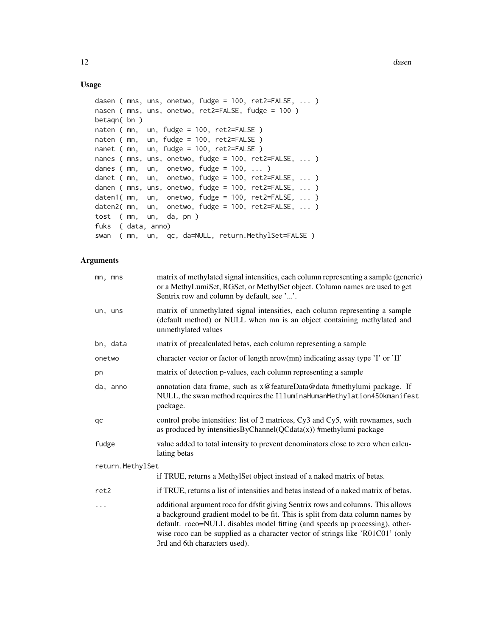# Usage

```
dasen ( mns, uns, onetwo, fudge = 100, ret2=FALSE, ... )
nasen ( mns, uns, onetwo, ret2=FALSE, fudge = 100 )
betaqn( bn )
naten ( mn, un, fudge = 100, ret2=FALSE )
naten ( mn, un, fudge = 100, ret2=FALSE )
nanet ( mn, un, fudge = 100, ret2=FALSE )
nanes ( mns, uns, onetwo, fudge = 100, ret2=FALSE, ... )
danes ( mn, un, onetwo, fudge = 100, ... )
danet ( mn, un, onetwo, fudge = 100, ret2=FALSE, ... )
danen ( mns, uns, onetwo, fudge = 100, ret2=FALSE, ... )
daten1( mn, un, onetwo, fudge = 100, ret2=FALSE, ... )
daten2( mn, un, onetwo, fudge = 100, ret2=FALSE, ... )
tost ( mn, un, da, pn )
fuks ( data, anno)
swan ( mn, un, qc, da=NULL, return.MethylSet=FALSE )
```
# Arguments

| mn, mns          | matrix of methylated signal intensities, each column representing a sample (generic)<br>or a MethyLumiSet, RGSet, or MethylSet object. Column names are used to get<br>Sentrix row and column by default, see ''.                                                                                                                                                     |
|------------------|-----------------------------------------------------------------------------------------------------------------------------------------------------------------------------------------------------------------------------------------------------------------------------------------------------------------------------------------------------------------------|
| un, uns          | matrix of unmethylated signal intensities, each column representing a sample<br>(default method) or NULL when mn is an object containing methylated and<br>unmethylated values                                                                                                                                                                                        |
| bn, data         | matrix of precalculated betas, each column representing a sample                                                                                                                                                                                                                                                                                                      |
| onetwo           | character vector or factor of length nrow(mn) indicating assay type 'I' or 'II'                                                                                                                                                                                                                                                                                       |
| pn               | matrix of detection p-values, each column representing a sample                                                                                                                                                                                                                                                                                                       |
| da, anno         | annotation data frame, such as x@featureData@data #methylumi package. If<br>NULL, the swan method requires the IlluminaHumanMethylation450kmanifest<br>package.                                                                                                                                                                                                       |
| qc               | control probe intensities: list of 2 matrices, Cy3 and Cy5, with rownames, such<br>as produced by intensities ByChannel ( $QCdata(x)$ ) #methylumi package                                                                                                                                                                                                            |
| fudge            | value added to total intensity to prevent denominators close to zero when calcu-<br>lating betas                                                                                                                                                                                                                                                                      |
| return.MethylSet |                                                                                                                                                                                                                                                                                                                                                                       |
|                  | if TRUE, returns a MethylSet object instead of a naked matrix of betas.                                                                                                                                                                                                                                                                                               |
| ret2             | if TRUE, returns a list of intensities and betas instead of a naked matrix of betas.                                                                                                                                                                                                                                                                                  |
| $\cdots$         | additional argument roco for dfsfit giving Sentrix rows and columns. This allows<br>a background gradient model to be fit. This is split from data column names by<br>default. roco=NULL disables model fitting (and speeds up processing), other-<br>wise roco can be supplied as a character vector of strings like 'R01C01' (only<br>3rd and 6th characters used). |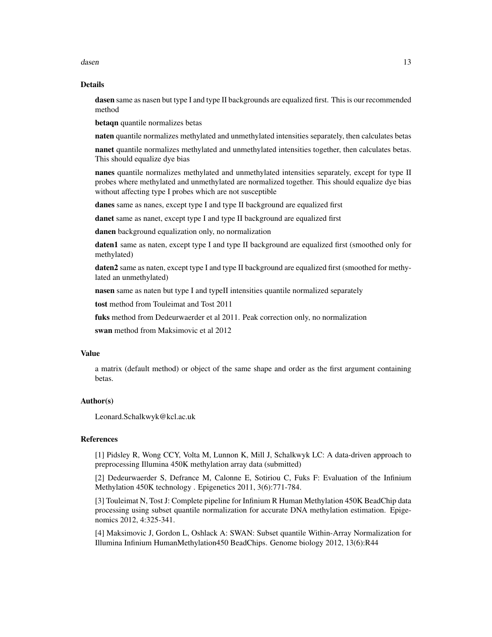dasen 13 metal besteht in de staat 13 metal besteht in de staat 13 metal besteht in de staat 13 metal besteht in de staat 13 metal besteht in de staat 13 metal besteht in de staat 13 metal besteht in de staat 13 metal best

#### Details

dasen same as nasen but type I and type II backgrounds are equalized first. This is our recommended method

betaqn quantile normalizes betas

naten quantile normalizes methylated and unmethylated intensities separately, then calculates betas

nanet quantile normalizes methylated and unmethylated intensities together, then calculates betas. This should equalize dye bias

nanes quantile normalizes methylated and unmethylated intensities separately, except for type II probes where methylated and unmethylated are normalized together. This should equalize dye bias without affecting type I probes which are not susceptible

danes same as nanes, except type I and type II background are equalized first

danet same as nanet, except type I and type II background are equalized first

danen background equalization only, no normalization

daten1 same as naten, except type I and type II background are equalized first (smoothed only for methylated)

daten2 same as naten, except type I and type II background are equalized first (smoothed for methylated an unmethylated)

nasen same as naten but type I and typeII intensities quantile normalized separately

tost method from Touleimat and Tost 2011

fuks method from Dedeurwaerder et al 2011. Peak correction only, no normalization

swan method from Maksimovic et al 2012

# Value

a matrix (default method) or object of the same shape and order as the first argument containing betas.

#### Author(s)

Leonard.Schalkwyk@kcl.ac.uk

#### References

[1] Pidsley R, Wong CCY, Volta M, Lunnon K, Mill J, Schalkwyk LC: A data-driven approach to preprocessing Illumina 450K methylation array data (submitted)

[2] Dedeurwaerder S, Defrance M, Calonne E, Sotiriou C, Fuks F: Evaluation of the Infinium Methylation 450K technology . Epigenetics 2011, 3(6):771-784.

[3] Touleimat N, Tost J: Complete pipeline for Infinium R Human Methylation 450K BeadChip data processing using subset quantile normalization for accurate DNA methylation estimation. Epigenomics 2012, 4:325-341.

[4] Maksimovic J, Gordon L, Oshlack A: SWAN: Subset quantile Within-Array Normalization for Illumina Infinium HumanMethylation450 BeadChips. Genome biology 2012, 13(6):R44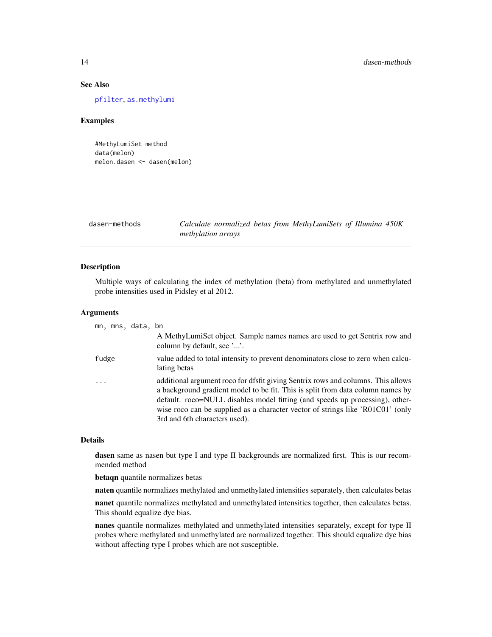# See Also

[pfilter](#page-25-1), [as.methylumi](#page-3-1)

#### Examples

```
#MethyLumiSet method
data(melon)
melon.dasen <- dasen(melon)
```
# dasen-methods *Calculate normalized betas from MethyLumiSets of Illumina 450K methylation arrays*

#### Description

Multiple ways of calculating the index of methylation (beta) from methylated and unmethylated probe intensities used in Pidsley et al 2012.

#### Arguments

| mn, mns, data, bn |                                                                                                                                                                                                                                                                                                                                                                       |
|-------------------|-----------------------------------------------------------------------------------------------------------------------------------------------------------------------------------------------------------------------------------------------------------------------------------------------------------------------------------------------------------------------|
|                   | A MethyLumiSet object. Sample names names are used to get Sentrix row and<br>column by default, see ''.                                                                                                                                                                                                                                                               |
| fudge             | value added to total intensity to prevent denominators close to zero when calcu-<br>lating betas                                                                                                                                                                                                                                                                      |
| $\cdots$          | additional argument roco for dfsfit giving Sentrix rows and columns. This allows<br>a background gradient model to be fit. This is split from data column names by<br>default. roco=NULL disables model fitting (and speeds up processing), other-<br>wise roco can be supplied as a character vector of strings like 'R01C01' (only<br>3rd and 6th characters used). |

# Details

dasen same as nasen but type I and type II backgrounds are normalized first. This is our recommended method

betaqn quantile normalizes betas

naten quantile normalizes methylated and unmethylated intensities separately, then calculates betas

nanet quantile normalizes methylated and unmethylated intensities together, then calculates betas. This should equalize dye bias.

nanes quantile normalizes methylated and unmethylated intensities separately, except for type II probes where methylated and unmethylated are normalized together. This should equalize dye bias without affecting type I probes which are not susceptible.

<span id="page-13-0"></span>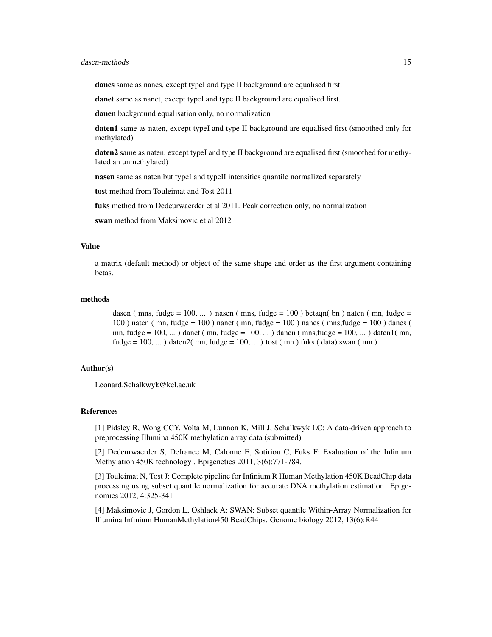#### dasen-methods 15

danes same as nanes, except typeI and type II background are equalised first.

danet same as nanet, except typeI and type II background are equalised first.

danen background equalisation only, no normalization

daten1 same as naten, except typeI and type II background are equalised first (smoothed only for methylated)

daten2 same as naten, except typeI and type II background are equalised first (smoothed for methylated an unmethylated)

nasen same as naten but typeI and typeII intensities quantile normalized separately

tost method from Touleimat and Tost 2011

fuks method from Dedeurwaerder et al 2011. Peak correction only, no normalization

swan method from Maksimovic et al 2012

#### Value

a matrix (default method) or object of the same shape and order as the first argument containing betas.

#### methods

dasen (mns, fudge = 100, ...) nasen (mns, fudge = 100) betaqn( bn) naten (mn, fudge = 100 ) naten ( mn, fudge = 100 ) nanet ( mn, fudge = 100 ) nanes ( mns,fudge = 100 ) danes ( mn, fudge =  $100, \ldots$ ) danet (mn, fudge =  $100, \ldots$ ) danen (mns, fudge =  $100, \ldots$ ) daten  $1$  (mn, fudge =  $100, \ldots$ ) daten $2(mn, fudge = 100, \ldots)$  tost (mn) fuks (data) swan (mn)

## Author(s)

Leonard.Schalkwyk@kcl.ac.uk

# References

[1] Pidsley R, Wong CCY, Volta M, Lunnon K, Mill J, Schalkwyk LC: A data-driven approach to preprocessing Illumina 450K methylation array data (submitted)

[2] Dedeurwaerder S, Defrance M, Calonne E, Sotiriou C, Fuks F: Evaluation of the Infinium Methylation 450K technology . Epigenetics 2011, 3(6):771-784.

[3] Touleimat N, Tost J: Complete pipeline for Infinium R Human Methylation 450K BeadChip data processing using subset quantile normalization for accurate DNA methylation estimation. Epigenomics 2012, 4:325-341

[4] Maksimovic J, Gordon L, Oshlack A: SWAN: Subset quantile Within-Array Normalization for Illumina Infinium HumanMethylation450 BeadChips. Genome biology 2012, 13(6):R44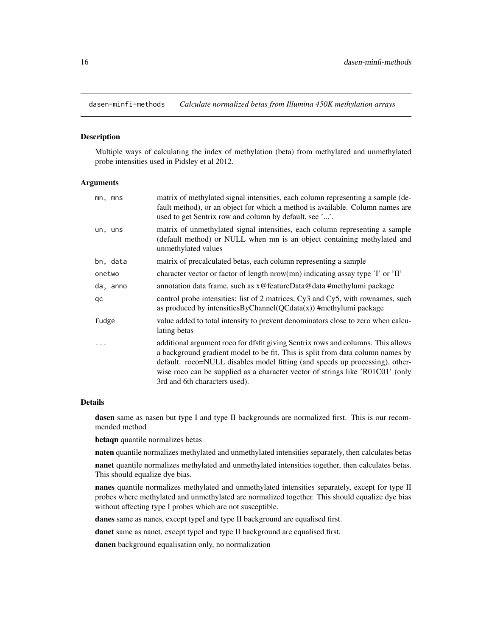<span id="page-15-0"></span>dasen-minfi-methods *Calculate normalized betas from Illumina 450K methylation arrays*

# Description

Multiple ways of calculating the index of methylation (beta) from methylated and unmethylated probe intensities used in Pidsley et al 2012.

#### **Arguments**

| mn, mns   | matrix of methylated signal intensities, each column representing a sample (de-<br>fault method), or an object for which a method is available. Column names are<br>used to get Sentrix row and column by default, see ''.                                                                                                                                            |
|-----------|-----------------------------------------------------------------------------------------------------------------------------------------------------------------------------------------------------------------------------------------------------------------------------------------------------------------------------------------------------------------------|
| un, uns   | matrix of unmethylated signal intensities, each column representing a sample<br>(default method) or NULL when mn is an object containing methylated and<br>unmethylated values                                                                                                                                                                                        |
| bn, data  | matrix of precalculated betas, each column representing a sample                                                                                                                                                                                                                                                                                                      |
| onetwo    | character vector or factor of length nrow(mn) indicating assay type 'I' or 'II'                                                                                                                                                                                                                                                                                       |
| da, anno  | annotation data frame, such as x@featureData@data #methylumi package                                                                                                                                                                                                                                                                                                  |
| qc        | control probe intensities: list of 2 matrices, Cy3 and Cy5, with rownames, such<br>as produced by intensities ByChannel ( $QCdata(x)$ ) #methylumi package                                                                                                                                                                                                            |
| fudge     | value added to total intensity to prevent denominators close to zero when calcu-<br>lating betas                                                                                                                                                                                                                                                                      |
| $\ddotsc$ | additional argument roco for dfsfit giving Sentrix rows and columns. This allows<br>a background gradient model to be fit. This is split from data column names by<br>default. roco=NULL disables model fitting (and speeds up processing), other-<br>wise roco can be supplied as a character vector of strings like 'R01C01' (only<br>3rd and 6th characters used). |

#### Details

dasen same as nasen but type I and type II backgrounds are normalized first. This is our recommended method

betaqn quantile normalizes betas

naten quantile normalizes methylated and unmethylated intensities separately, then calculates betas

nanet quantile normalizes methylated and unmethylated intensities together, then calculates betas. This should equalize dye bias.

nanes quantile normalizes methylated and unmethylated intensities separately, except for type II probes where methylated and unmethylated are normalized together. This should equalize dye bias without affecting type I probes which are not susceptible.

danes same as nanes, except typeI and type II background are equalised first.

danet same as nanet, except typeI and type II background are equalised first.

danen background equalisation only, no normalization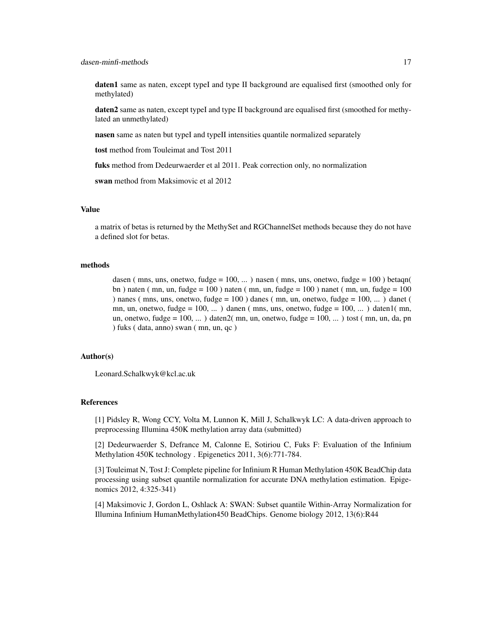daten1 same as naten, except typeI and type II background are equalised first (smoothed only for methylated)

daten2 same as naten, except typeI and type II background are equalised first (smoothed for methylated an unmethylated)

nasen same as naten but typeI and typeII intensities quantile normalized separately

tost method from Touleimat and Tost 2011

fuks method from Dedeurwaerder et al 2011. Peak correction only, no normalization

swan method from Maksimovic et al 2012

#### Value

a matrix of betas is returned by the MethySet and RGChannelSet methods because they do not have a defined slot for betas.

#### methods

dasen ( mns, uns, onetwo, fudge =  $100, \ldots$  ) nasen ( mns, uns, onetwo, fudge =  $100$  ) betagn( bn ) naten ( mn, un, fudge =  $100$  ) naten ( mn, un, fudge =  $100$  ) nanet ( mn, un, fudge =  $100$ ) nanes (mns, uns, onetwo, fudge =  $100$ ) danes (mn, un, onetwo, fudge =  $100$ , ...) danet ( mn, un, onetwo, fudge = 100, ... ) danen ( mns, uns, onetwo, fudge = 100, ... ) daten1( mn, un, onetwo, fudge =  $100, ...$ ) daten $2($  mn, un, onetwo, fudge =  $100, ...$ ) tost  $($  mn, un, da, pn ) fuks ( data, anno) swan ( mn, un, qc )

#### Author(s)

Leonard.Schalkwyk@kcl.ac.uk

# References

[1] Pidsley R, Wong CCY, Volta M, Lunnon K, Mill J, Schalkwyk LC: A data-driven approach to preprocessing Illumina 450K methylation array data (submitted)

[2] Dedeurwaerder S, Defrance M, Calonne E, Sotiriou C, Fuks F: Evaluation of the Infinium Methylation 450K technology . Epigenetics 2011, 3(6):771-784.

[3] Touleimat N, Tost J: Complete pipeline for Infinium R Human Methylation 450K BeadChip data processing using subset quantile normalization for accurate DNA methylation estimation. Epigenomics 2012, 4:325-341)

[4] Maksimovic J, Gordon L, Oshlack A: SWAN: Subset quantile Within-Array Normalization for Illumina Infinium HumanMethylation450 BeadChips. Genome biology 2012, 13(6):R44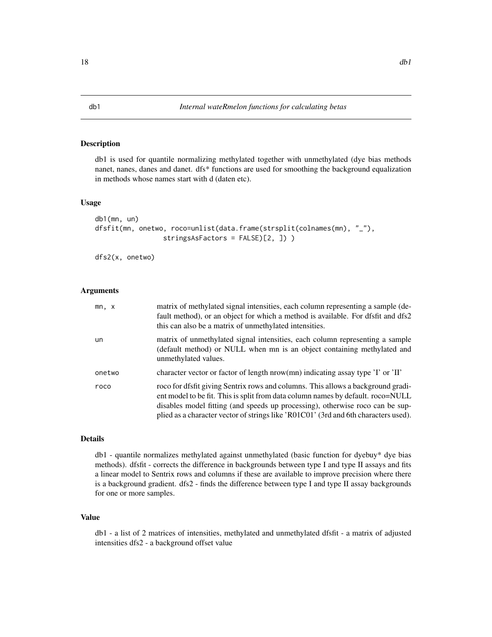#### Description

db1 is used for quantile normalizing methylated together with unmethylated (dye bias methods nanet, nanes, danes and danet. dfs\* functions are used for smoothing the background equalization in methods whose names start with d (daten etc).

#### Usage

```
db1(mn, un)
dfsfit(mn, onetwo, roco=unlist(data.frame(strsplit(colnames(mn), "_"),
                 stringsAsFactors = FALSE)[2, ]) )
```
dfs2(x, onetwo)

#### Arguments

| mn, x  | matrix of methylated signal intensities, each column representing a sample (de-<br>fault method), or an object for which a method is available. For dfsfit and dfs2<br>this can also be a matrix of unmethylated intensities.                                                                                                               |
|--------|---------------------------------------------------------------------------------------------------------------------------------------------------------------------------------------------------------------------------------------------------------------------------------------------------------------------------------------------|
| un     | matrix of unmethylated signal intensities, each column representing a sample<br>(default method) or NULL when mn is an object containing methylated and<br>unmethylated values.                                                                                                                                                             |
| onetwo | character vector or factor of length nrow(mn) indicating assay type 'I' or 'II'                                                                                                                                                                                                                                                             |
| roco   | roco for dfsfit giving Sentrix rows and columns. This allows a background gradi-<br>ent model to be fit. This is split from data column names by default. roco=NULL<br>disables model fitting (and speeds up processing), otherwise roco can be sup-<br>plied as a character vector of strings like 'R01C01' (3rd and 6th characters used). |

# Details

db1 - quantile normalizes methylated against unmethylated (basic function for dyebuy\* dye bias methods). dfsfit - corrects the difference in backgrounds between type I and type II assays and fits a linear model to Sentrix rows and columns if these are available to improve precision where there is a background gradient. dfs2 - finds the difference between type I and type II assay backgrounds for one or more samples.

# Value

db1 - a list of 2 matrices of intensities, methylated and unmethylated dfsfit - a matrix of adjusted intensities dfs2 - a background offset value

<span id="page-17-0"></span>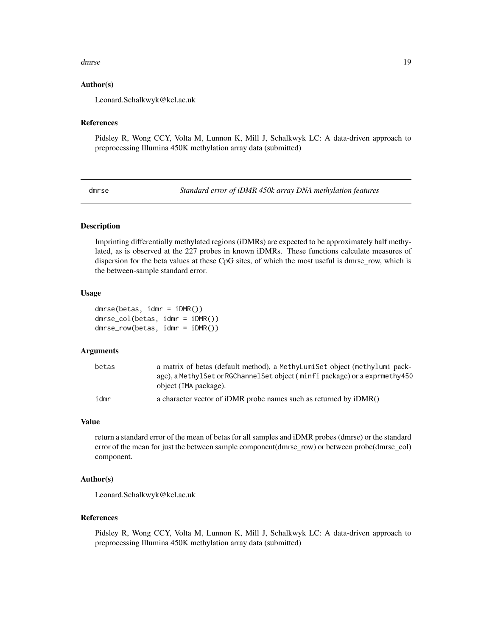#### <span id="page-18-0"></span>dmrse the contract of the contract of the contract of the contract of the contract of the contract of the contract of the contract of the contract of the contract of the contract of the contract of the contract of the cont

### Author(s)

Leonard.Schalkwyk@kcl.ac.uk

#### References

Pidsley R, Wong CCY, Volta M, Lunnon K, Mill J, Schalkwyk LC: A data-driven approach to preprocessing Illumina 450K methylation array data (submitted)

<span id="page-18-1"></span>dmrse *Standard error of iDMR 450k array DNA methylation features*

# <span id="page-18-2"></span>Description

Imprinting differentially methylated regions (iDMRs) are expected to be approximately half methylated, as is observed at the 227 probes in known iDMRs. These functions calculate measures of dispersion for the beta values at these CpG sites, of which the most useful is dmrse\_row, which is the between-sample standard error.

#### Usage

dmrse(betas, idmr = iDMR()) dmrse\_col(betas, idmr = iDMR()) dmrse\_row(betas, idmr = iDMR())

#### Arguments

| betas | a matrix of betas (default method), a MethyLumiSet object (methylumi pack-<br>age), a MethylSet or RGChannelSet object (minfi package) or a exprmethy450<br>object (IMA package). |
|-------|-----------------------------------------------------------------------------------------------------------------------------------------------------------------------------------|
| idmr  | a character vector of iDMR probe names such as returned by iDMR()                                                                                                                 |

#### Value

return a standard error of the mean of betas for all samples and iDMR probes (dmrse) or the standard error of the mean for just the between sample component(dmrse\_row) or between probe(dmrse\_col) component.

#### Author(s)

Leonard.Schalkwyk@kcl.ac.uk

#### References

Pidsley R, Wong CCY, Volta M, Lunnon K, Mill J, Schalkwyk LC: A data-driven approach to preprocessing Illumina 450K methylation array data (submitted)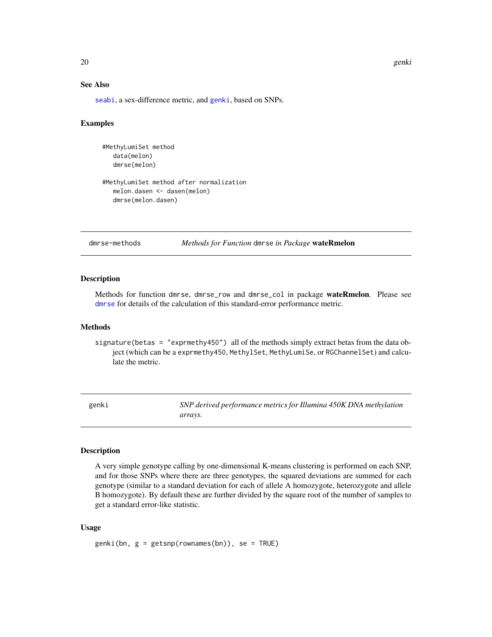20 genki

# See Also

[seabi](#page-27-1), a sex-difference metric, and [genki](#page-19-1), based on SNPs.

#### Examples

```
#MethyLumiSet method
   data(melon)
   dmrse(melon)
#MethyLumiSet method after normalization
   melon.dasen <- dasen(melon)
   dmrse(melon.dasen)
```
# dmrse-methods *Methods for Function* dmrse *in Package* wateRmelon

#### Description

Methods for function dmrse, dmrse\_row and dmrse\_col in package wateRmelon. Please see [dmrse](#page-18-1) for details of the calculation of this standard-error performance metric.

#### Methods

signature(betas = "exprmethy450") all of the methods simply extract betas from the data object (which can be a exprmethy450, MethylSet, MethyLumiSe, or RGChannelSet) and calculate the metric.

<span id="page-19-1"></span>genki *SNP derived performance metrics for Illumina 450K DNA methylation arrays.*

# Description

A very simple genotype calling by one-dimensional K-means clustering is performed on each SNP, and for those SNPs where there are three genotypes, the squared deviations are summed for each genotype (similar to a standard deviation for each of allele A homozygote, heterozygote and allele B homozygote). By default these are further divided by the square root of the number of samples to get a standard error-like statistic.

#### Usage

 $genki(bn, g = getsnp(rownames(bn)), se = TRUE)$ 

<span id="page-19-0"></span>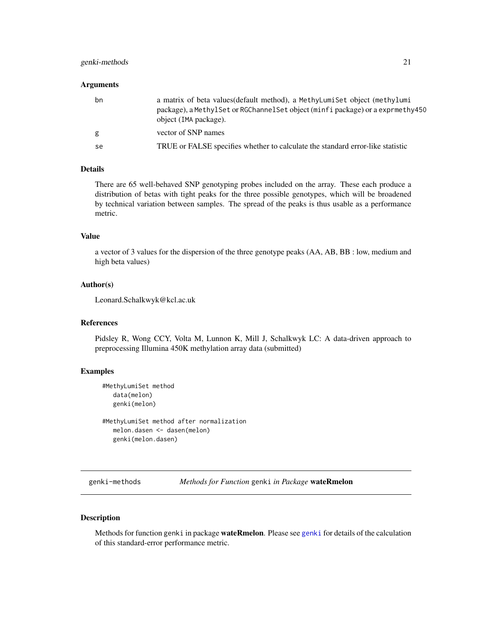# <span id="page-20-0"></span>genki-methods 21

#### Arguments

| bn | a matrix of beta values (default method), a MethyLumiSet object (methylumi<br>package), a MethylSet or RGChannelSet object (minfi package) or a exprmethy450<br>object (IMA package). |
|----|---------------------------------------------------------------------------------------------------------------------------------------------------------------------------------------|
| g  | vector of SNP names                                                                                                                                                                   |
| se | TRUE or FALSE specifies whether to calculate the standard error-like statistic                                                                                                        |

# Details

There are 65 well-behaved SNP genotyping probes included on the array. These each produce a distribution of betas with tight peaks for the three possible genotypes, which will be broadened by technical variation between samples. The spread of the peaks is thus usable as a performance metric.

# Value

a vector of 3 values for the dispersion of the three genotype peaks (AA, AB, BB : low, medium and high beta values)

#### Author(s)

Leonard.Schalkwyk@kcl.ac.uk

# References

Pidsley R, Wong CCY, Volta M, Lunnon K, Mill J, Schalkwyk LC: A data-driven approach to preprocessing Illumina 450K methylation array data (submitted)

# Examples

```
#MethyLumiSet method
   data(melon)
   genki(melon)
```
#MethyLumiSet method after normalization melon.dasen <- dasen(melon) genki(melon.dasen)

genki-methods *Methods for Function* genki *in Package* wateRmelon

# Description

Methods for function [genki](#page-19-1) in package **wateRmelon**. Please see genki for details of the calculation of this standard-error performance metric.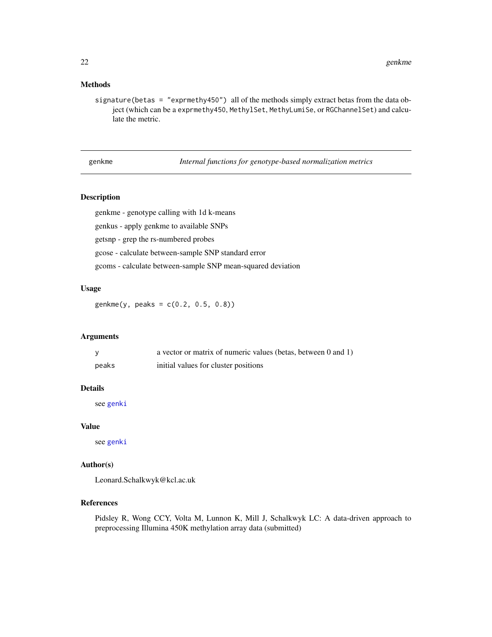# <span id="page-21-0"></span>Methods

signature(betas = "exprmethy450") all of the methods simply extract betas from the data object (which can be a exprmethy450, MethylSet, MethyLumiSe, or RGChannelSet) and calculate the metric.

genkme *Internal functions for genotype-based normalization metrics*

# <span id="page-21-1"></span>Description

genkme - genotype calling with 1d k-means

genkus - apply genkme to available SNPs

getsnp - grep the rs-numbered probes

gcose - calculate between-sample SNP standard error

gcoms - calculate between-sample SNP mean-squared deviation

#### Usage

genkme(y, peaks = c(0.2, 0.5, 0.8))

# Arguments

|       | a vector or matrix of numeric values (betas, between 0 and 1) |
|-------|---------------------------------------------------------------|
| peaks | initial values for cluster positions                          |

#### Details

see [genki](#page-19-1)

#### Value

see [genki](#page-19-1)

# Author(s)

Leonard.Schalkwyk@kcl.ac.uk

#### References

Pidsley R, Wong CCY, Volta M, Lunnon K, Mill J, Schalkwyk LC: A data-driven approach to preprocessing Illumina 450K methylation array data (submitted)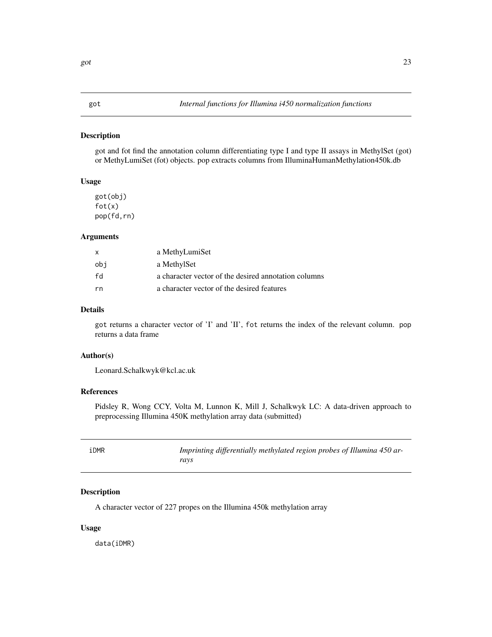#### <span id="page-22-0"></span>Description

got and fot find the annotation column differentiating type I and type II assays in MethylSet (got) or MethyLumiSet (fot) objects. pop extracts columns from IlluminaHumanMethylation450k.db

# Usage

got(obj) fot(x) pop(fd,rn)

#### Arguments

| X   | a MethyLumiSet                                       |
|-----|------------------------------------------------------|
| obi | a MethylSet                                          |
| fd  | a character vector of the desired annotation columns |
| rn  | a character vector of the desired features           |

# Details

got returns a character vector of 'I' and 'II', fot returns the index of the relevant column. pop returns a data frame

# Author(s)

Leonard.Schalkwyk@kcl.ac.uk

# References

Pidsley R, Wong CCY, Volta M, Lunnon K, Mill J, Schalkwyk LC: A data-driven approach to preprocessing Illumina 450K methylation array data (submitted)

| iDMR | Imprinting differentially methylated region probes of Illumina 450 ar- |
|------|------------------------------------------------------------------------|
|      | ravs                                                                   |

# Description

A character vector of 227 propes on the Illumina 450k methylation array

#### Usage

data(iDMR)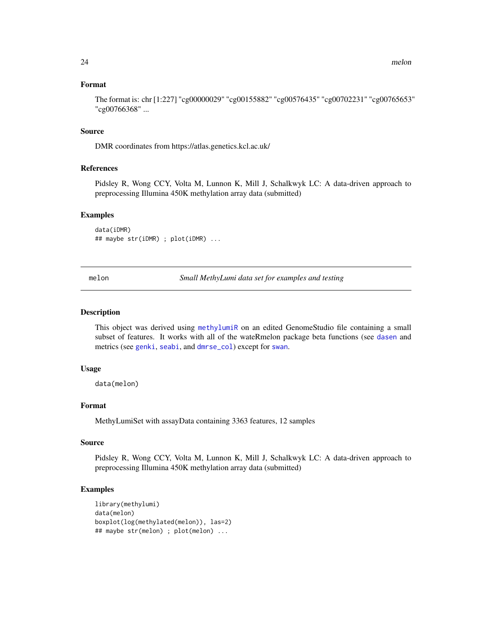### Format

The format is: chr [1:227] "cg00000029" "cg00155882" "cg00576435" "cg00702231" "cg00765653" "cg00766368" ...

#### Source

DMR coordinates from https://atlas.genetics.kcl.ac.uk/

# References

Pidsley R, Wong CCY, Volta M, Lunnon K, Mill J, Schalkwyk LC: A data-driven approach to preprocessing Illumina 450K methylation array data (submitted)

#### Examples

data(iDMR) ## maybe str(iDMR) ; plot(iDMR) ...

melon *Small MethyLumi data set for examples and testing*

#### Description

This object was derived using [methylumiR](#page-0-0) on an edited GenomeStudio file containing a small subset of features. It works with all of the wateRmelon package beta functions (see [dasen](#page-10-2) and metrics (see [genki](#page-19-1), [seabi](#page-27-1), and [dmrse\\_col](#page-18-2)) except for [swan](#page-10-1).

#### Usage

data(melon)

#### Format

MethyLumiSet with assayData containing 3363 features, 12 samples

# Source

Pidsley R, Wong CCY, Volta M, Lunnon K, Mill J, Schalkwyk LC: A data-driven approach to preprocessing Illumina 450K methylation array data (submitted)

#### Examples

```
library(methylumi)
data(melon)
boxplot(log(methylated(melon)), las=2)
## maybe str(melon) ; plot(melon) ...
```
<span id="page-23-0"></span>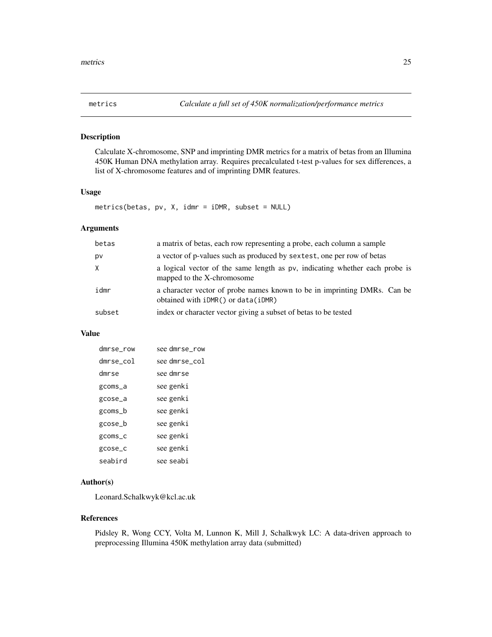<span id="page-24-0"></span>

# Description

Calculate X-chromosome, SNP and imprinting DMR metrics for a matrix of betas from an Illumina 450K Human DNA methylation array. Requires precalculated t-test p-values for sex differences, a list of X-chromosome features and of imprinting DMR features.

# Usage

metrics(betas, pv, X, idmr = iDMR, subset = NULL)

# Arguments

| betas  | a matrix of betas, each row representing a probe, each column a sample                                             |
|--------|--------------------------------------------------------------------------------------------------------------------|
| pv     | a vector of p-values such as produced by sextest, one per row of betas                                             |
| X      | a logical vector of the same length as pv, indicating whether each probe is<br>mapped to the X-chromosome          |
| idmr   | a character vector of probe names known to be in imprinting DMRs. Can be<br>obtained with $iDMR()$ or $data(iDMR)$ |
| subset | index or character vector giving a subset of betas to be tested                                                    |

#### Value

| see dmrse_row |
|---------------|
| see dmrse_col |
| see dmrse     |
| see genki     |
| see genki     |
| see genki     |
| see genki     |
| see genki     |
| see genki     |
| see seabi     |
|               |

# Author(s)

Leonard.Schalkwyk@kcl.ac.uk

# References

Pidsley R, Wong CCY, Volta M, Lunnon K, Mill J, Schalkwyk LC: A data-driven approach to preprocessing Illumina 450K methylation array data (submitted)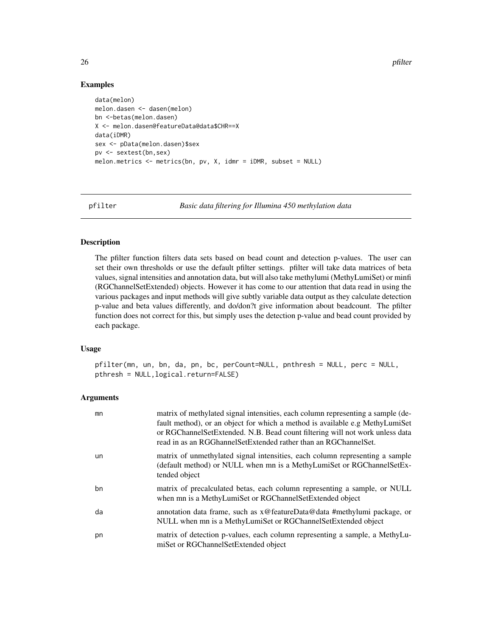26 pfilter

### Examples

```
data(melon)
melon.dasen <- dasen(melon)
bn <-betas(melon.dasen)
X <- melon.dasen@featureData@data$CHR==X
data(iDMR)
sex <- pData(melon.dasen)$sex
pv <- sextest(bn,sex)
melon.metrics <- metrics(bn, pv, X, idmr = iDMR, subset = NULL)
```
<span id="page-25-1"></span>

pfilter *Basic data filtering for Illumina 450 methylation data*

#### Description

The pfilter function filters data sets based on bead count and detection p-values. The user can set their own thresholds or use the default pfilter settings. pfilter will take data matrices of beta values, signal intensities and annotation data, but will also take methylumi (MethyLumiSet) or minfi (RGChannelSetExtended) objects. However it has come to our attention that data read in using the various packages and input methods will give subtly variable data output as they calculate detection p-value and beta values differently, and do/don?t give information about beadcount. The pfilter function does not correct for this, but simply uses the detection p-value and bead count provided by each package.

# Usage

pfilter(mn, un, bn, da, pn, bc, perCount=NULL, pnthresh = NULL, perc = NULL, pthresh = NULL,logical.return=FALSE)

# Arguments

| mn | matrix of methylated signal intensities, each column representing a sample (de-<br>fault method), or an object for which a method is available e.g MethyLumiSet<br>or RGChannelSetExtended. N.B. Bead count filtering will not work unless data<br>read in as an RGGhannelSetExtended rather than an RGChannelSet. |
|----|--------------------------------------------------------------------------------------------------------------------------------------------------------------------------------------------------------------------------------------------------------------------------------------------------------------------|
| un | matrix of unmethylated signal intensities, each column representing a sample<br>(default method) or NULL when mn is a MethyLumiSet or RGChannelSetEx-<br>tended object                                                                                                                                             |
| bn | matrix of precalculated betas, each column representing a sample, or NULL<br>when mn is a MethyLumiSet or RGChannelSetExtended object                                                                                                                                                                              |
| da | annotation data frame, such as x@featureData@data #methylumi package, or<br>NULL when mn is a MethyLumiSet or RGChannelSetExtended object                                                                                                                                                                          |
| pn | matrix of detection p-values, each column representing a sample, a MethyLu-<br>miSet or RGChannelSetExtended object                                                                                                                                                                                                |

<span id="page-25-0"></span>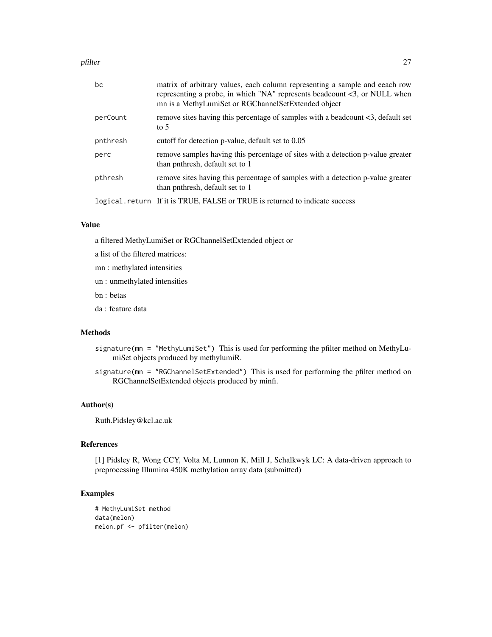#### pfilter that the contract of the contract of the contract of the contract of the contract of the contract of the contract of the contract of the contract of the contract of the contract of the contract of the contract of t

| bc       | matrix of arbitrary values, each column representing a sample and eeach row<br>representing a probe, in which "NA" represents beadcount <3, or NULL when<br>mn is a MethyLumiSet or RGChannelSetExtended object |
|----------|-----------------------------------------------------------------------------------------------------------------------------------------------------------------------------------------------------------------|
| perCount | remove sites having this percentage of samples with a beadcount <3, default set<br>to $5$                                                                                                                       |
| pnthresh | cutoff for detection p-value, default set to 0.05                                                                                                                                                               |
| perc     | remove samples having this percentage of sites with a detection p-value greater<br>than pnthresh, default set to 1                                                                                              |
| pthresh  | remove sites having this percentage of samples with a detection p-value greater<br>than pnthresh, default set to 1                                                                                              |
|          | logical.return If it is TRUE, FALSE or TRUE is returned to indicate success                                                                                                                                     |

#### Value

a filtered MethyLumiSet or RGChannelSetExtended object or

- a list of the filtered matrices:
- mn : methylated intensities
- un : unmethylated intensities
- bn : betas
- da : feature data

# Methods

- signature(mn = "MethyLumiSet") This is used for performing the pfilter method on MethyLumiSet objects produced by methylumiR.
- signature(mn = "RGChannelSetExtended") This is used for performing the pfilter method on RGChannelSetExtended objects produced by minfi.

#### Author(s)

Ruth.Pidsley@kcl.ac.uk

# References

[1] Pidsley R, Wong CCY, Volta M, Lunnon K, Mill J, Schalkwyk LC: A data-driven approach to preprocessing Illumina 450K methylation array data (submitted)

# Examples

```
# MethyLumiSet method
data(melon)
melon.pf <- pfilter(melon)
```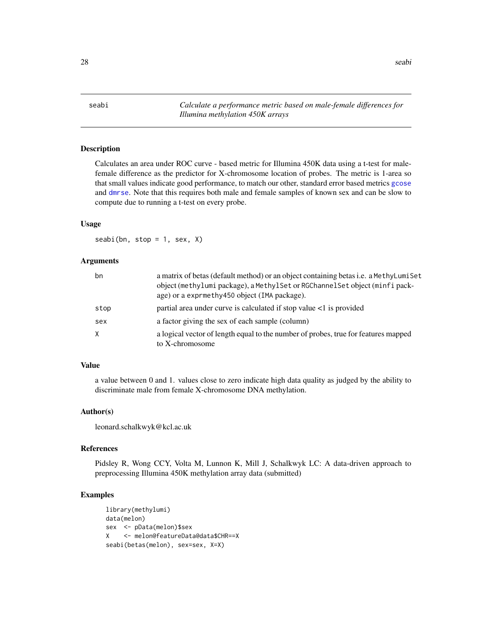<span id="page-27-1"></span><span id="page-27-0"></span>seabi *Calculate a performance metric based on male-female differences for Illumina methylation 450K arrays*

### Description

Calculates an area under ROC curve - based metric for Illumina 450K data using a t-test for malefemale difference as the predictor for X-chromosome location of probes. The metric is 1-area so that small values indicate good performance, to match our other, standard error based metrics [gcose](#page-21-1) and [dmrse](#page-18-1). Note that this requires both male and female samples of known sex and can be slow to compute due to running a t-test on every probe.

#### Usage

 $seabi(bn, stop = 1, sex, X)$ 

#### Arguments

| bn   | a matrix of betas (default method) or an object containing betas i.e. a MethyLumiSet<br>object (methylumi package), a MethylSet or RGChannelSet object (minfi pack-<br>age) or a exprmethy450 object (IMA package). |
|------|---------------------------------------------------------------------------------------------------------------------------------------------------------------------------------------------------------------------|
| stop | partial area under curve is calculated if stop value $\lt 1$ is provided                                                                                                                                            |
| sex  | a factor giving the sex of each sample (column)                                                                                                                                                                     |
| X    | a logical vector of length equal to the number of probes, true for features mapped<br>to X-chromosome                                                                                                               |

#### Value

a value between 0 and 1. values close to zero indicate high data quality as judged by the ability to discriminate male from female X-chromosome DNA methylation.

#### Author(s)

leonard.schalkwyk@kcl.ac.uk

# References

Pidsley R, Wong CCY, Volta M, Lunnon K, Mill J, Schalkwyk LC: A data-driven approach to preprocessing Illumina 450K methylation array data (submitted)

# Examples

```
library(methylumi)
data(melon)
sex <- pData(melon)$sex
X <- melon@featureData@data$CHR==X
seabi(betas(melon), sex=sex, X=X)
```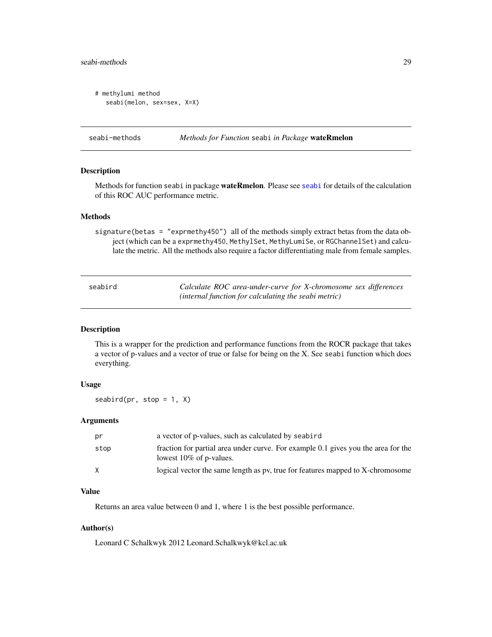# <span id="page-28-0"></span>seabi-methods 29

```
# methylumi method
   seabi(melon, sex=sex, X=X)
```
seabi-methods *Methods for Function* seabi *in Package* wateRmelon

#### Description

Methods for function seabi in package wateRmelon. Please see [seabi](#page-27-1) for details of the calculation of this ROC AUC performance metric.

#### Methods

signature(betas = "exprmethy450") all of the methods simply extract betas from the data object (which can be a exprmethy450, MethylSet, MethyLumiSe, or RGChannelSet) and calculate the metric. All the methods also require a factor differentiating male from female samples.

<span id="page-28-1"></span>

| seabird | Calculate ROC area-under-curve for X-chromosome sex differences |
|---------|-----------------------------------------------------------------|
|         | (internal function for calculating the seabi metric)            |

#### Description

This is a wrapper for the prediction and performance functions from the ROCR package that takes a vector of p-values and a vector of true or false for being on the X. See seabi function which does everything.

#### Usage

 $seabird(pr, stop = 1, X)$ 

# Arguments

| pr   | a vector of p-values, such as calculated by seabird                                                             |
|------|-----------------------------------------------------------------------------------------------------------------|
| stop | fraction for partial area under curve. For example 0.1 gives you the area for the<br>lowest $10\%$ of p-values. |
|      | logical vector the same length as pv, true for features mapped to X-chromosome                                  |

# Value

Returns an area value between 0 and 1, where 1 is the best possible performance.

# Author(s)

Leonard C Schalkwyk 2012 Leonard.Schalkwyk@kcl.ac.uk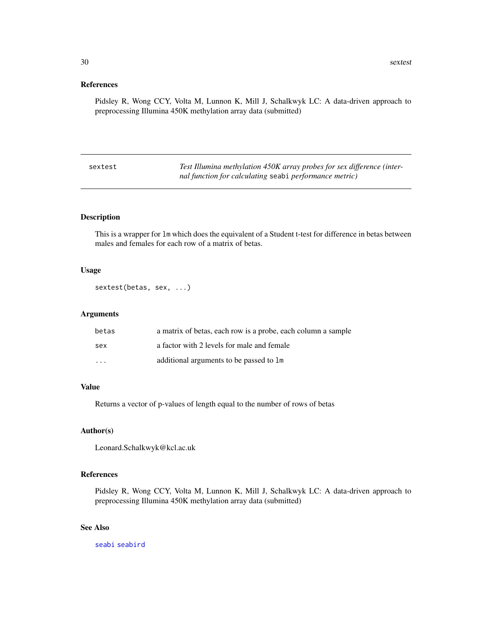# <span id="page-29-0"></span>References

Pidsley R, Wong CCY, Volta M, Lunnon K, Mill J, Schalkwyk LC: A data-driven approach to preprocessing Illumina 450K methylation array data (submitted)

| sextest | Test Illumina methylation 450K array probes for sex difference (inter- |
|---------|------------------------------------------------------------------------|
|         | nal function for calculating seabi performance metric)                 |

# Description

This is a wrapper for lm which does the equivalent of a Student t-test for difference in betas between males and females for each row of a matrix of betas.

# Usage

```
sextest(betas, sex, ...)
```
# Arguments

| betas    | a matrix of betas, each row is a probe, each column a sample |
|----------|--------------------------------------------------------------|
| sex      | a factor with 2 levels for male and female                   |
| $\cdots$ | additional arguments to be passed to 1m                      |

# Value

Returns a vector of p-values of length equal to the number of rows of betas

# Author(s)

Leonard.Schalkwyk@kcl.ac.uk

# References

Pidsley R, Wong CCY, Volta M, Lunnon K, Mill J, Schalkwyk LC: A data-driven approach to preprocessing Illumina 450K methylation array data (submitted)

# See Also

[seabi](#page-27-1) [seabird](#page-28-1)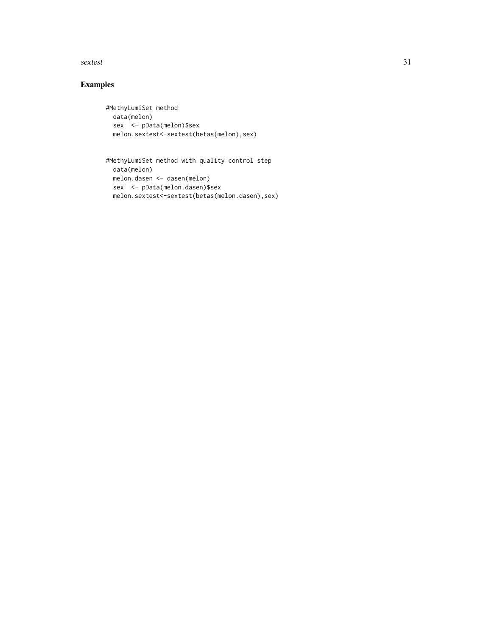#### sextest 31

# Examples

```
#MethyLumiSet method
 data(melon)
 sex <- pData(melon)$sex
 melon.sextest<-sextest(betas(melon),sex)
```

```
#MethyLumiSet method with quality control step
 data(melon)
 melon.dasen <- dasen(melon)
 sex <- pData(melon.dasen)$sex
 melon.sextest<-sextest(betas(melon.dasen),sex)
```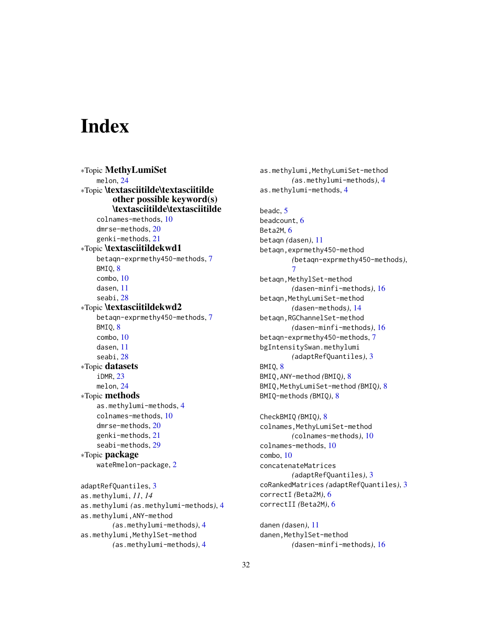# <span id="page-31-0"></span>**Index**

∗Topic MethyLumiSet melon, [24](#page-23-0) ∗Topic \textasciitilde\textasciitilde other possible keyword(s) \textasciitilde\textasciitilde colnames-methods, [10](#page-9-0) dmrse-methods, [20](#page-19-0) genki-methods, [21](#page-20-0) ∗Topic \textasciitildekwd1 betaqn-exprmethy450-methods, [7](#page-6-0) BMIQ, [8](#page-7-0) combo, [10](#page-9-0) dasen, [11](#page-10-0) seabi, [28](#page-27-0) ∗Topic \textasciitildekwd2 betaqn-exprmethy450-methods, [7](#page-6-0) BMIQ, [8](#page-7-0) combo, [10](#page-9-0) dasen, [11](#page-10-0) seabi, [28](#page-27-0) ∗Topic datasets iDMR, [23](#page-22-0) melon, [24](#page-23-0) ∗Topic methods as.methylumi-methods, [4](#page-3-0) colnames-methods, [10](#page-9-0) dmrse-methods, [20](#page-19-0) genki-methods, [21](#page-20-0) seabi-methods, [29](#page-28-0) ∗Topic package wateRmelon-package, [2](#page-1-0) adaptRefQuantiles, [3](#page-2-0) as.methylumi, *11*, *14* as.methylumi *(*as.methylumi-methods*)*, [4](#page-3-0) as.methylumi,ANY-method *(*as.methylumi-methods*)*, [4](#page-3-0) as.methylumi,MethylSet-method *(*as.methylumi-methods*)*, [4](#page-3-0)

as.methylumi,MethyLumiSet-method *(*as.methylumi-methods*)*, [4](#page-3-0) as.methylumi-methods, [4](#page-3-0) beadc, [5](#page-4-0) beadcount, [6](#page-5-0) Beta2M, [6](#page-5-0) betaqn *(*dasen*)*, [11](#page-10-0) betaqn,exprmethy450-method *(*betaqn-exprmethy450-methods*)*, [7](#page-6-0) betaqn,MethylSet-method *(*dasen-minfi-methods*)*, [16](#page-15-0) betaqn,MethyLumiSet-method *(*dasen-methods*)*, [14](#page-13-0) betaqn,RGChannelSet-method *(*dasen-minfi-methods*)*, [16](#page-15-0) betaqn-exprmethy450-methods, [7](#page-6-0) bgIntensitySwan.methylumi *(*adaptRefQuantiles*)*, [3](#page-2-0) BMIQ, [8](#page-7-0) BMIQ,ANY-method *(*BMIQ*)*, [8](#page-7-0) BMIQ,MethyLumiSet-method *(*BMIQ*)*, [8](#page-7-0) BMIQ-methods *(*BMIQ*)*, [8](#page-7-0) CheckBMIQ *(*BMIQ*)*, [8](#page-7-0) colnames, MethyLumiSet-method *(*colnames-methods*)*, [10](#page-9-0) colnames-methods, [10](#page-9-0) combo, [10](#page-9-0) concatenateMatrices *(*adaptRefQuantiles*)*, [3](#page-2-0) coRankedMatrices *(*adaptRefQuantiles*)*, [3](#page-2-0) correctI *(*Beta2M*)*, [6](#page-5-0) correctII *(*Beta2M*)*, [6](#page-5-0)

danen *(*dasen*)*, [11](#page-10-0) danen, MethylSet-method *(*dasen-minfi-methods*)*, [16](#page-15-0)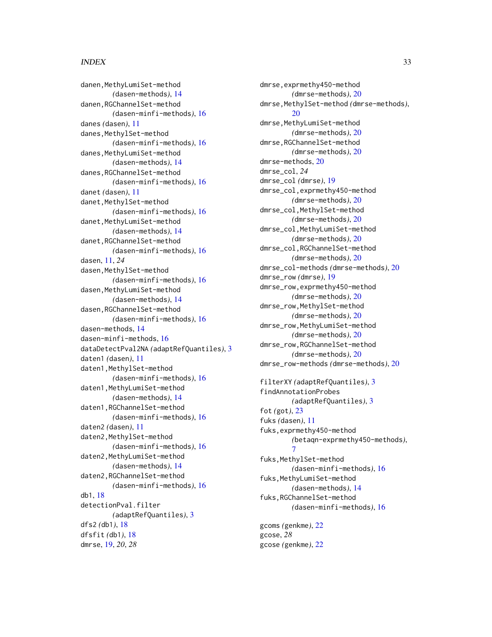#### $I<sub>N</sub>DEX$  33

danen, MethyLumiSet-method *(*dasen-methods*)*, [14](#page-13-0) danen,RGChannelSet-method *(*dasen-minfi-methods*)*, [16](#page-15-0) danes *(*dasen*)*, [11](#page-10-0) danes, MethylSet-method *(*dasen-minfi-methods*)*, [16](#page-15-0) danes,MethyLumiSet-method *(*dasen-methods*)*, [14](#page-13-0) danes,RGChannelSet-method *(*dasen-minfi-methods*)*, [16](#page-15-0) danet *(*dasen*)*, [11](#page-10-0) danet,MethylSet-method *(*dasen-minfi-methods*)*, [16](#page-15-0) danet, MethyLumiSet-method *(*dasen-methods*)*, [14](#page-13-0) danet,RGChannelSet-method *(*dasen-minfi-methods*)*, [16](#page-15-0) dasen, [11,](#page-10-0) *24* dasen, MethylSet-method *(*dasen-minfi-methods*)*, [16](#page-15-0) dasen,MethyLumiSet-method *(*dasen-methods*)*, [14](#page-13-0) dasen,RGChannelSet-method *(*dasen-minfi-methods*)*, [16](#page-15-0) dasen-methods, [14](#page-13-0) dasen-minfi-methods, [16](#page-15-0) dataDetectPval2NA *(*adaptRefQuantiles*)*, [3](#page-2-0) daten1 *(*dasen*)*, [11](#page-10-0) daten1,MethylSet-method *(*dasen-minfi-methods*)*, [16](#page-15-0) daten1,MethyLumiSet-method *(*dasen-methods*)*, [14](#page-13-0) daten1,RGChannelSet-method *(*dasen-minfi-methods*)*, [16](#page-15-0) daten2 *(*dasen*)*, [11](#page-10-0) daten2, MethylSet-method *(*dasen-minfi-methods*)*, [16](#page-15-0) daten2,MethyLumiSet-method *(*dasen-methods*)*, [14](#page-13-0) daten2,RGChannelSet-method *(*dasen-minfi-methods*)*, [16](#page-15-0) db1, [18](#page-17-0) detectionPval.filter *(*adaptRefQuantiles*)*, [3](#page-2-0) dfs2 *(*db1*)*, [18](#page-17-0) dfsfit *(*db1*)*, [18](#page-17-0) dmrse, [19,](#page-18-0) *20*, *28*

dmrse,exprmethy450-method *(*dmrse-methods*)*, [20](#page-19-0) dmrse,MethylSet-method *(*dmrse-methods*)*,  $20$ dmrse,MethyLumiSet-method *(*dmrse-methods*)*, [20](#page-19-0) dmrse,RGChannelSet-method *(*dmrse-methods*)*, [20](#page-19-0) dmrse-methods, [20](#page-19-0) dmrse\_col, *24* dmrse\_col *(*dmrse*)*, [19](#page-18-0) dmrse\_col,exprmethy450-method *(*dmrse-methods*)*, [20](#page-19-0) dmrse\_col,MethylSet-method *(*dmrse-methods*)*, [20](#page-19-0) dmrse\_col,MethyLumiSet-method *(*dmrse-methods*)*, [20](#page-19-0) dmrse\_col,RGChannelSet-method *(*dmrse-methods*)*, [20](#page-19-0) dmrse\_col-methods *(*dmrse-methods*)*, [20](#page-19-0) dmrse\_row *(*dmrse*)*, [19](#page-18-0) dmrse\_row,exprmethy450-method *(*dmrse-methods*)*, [20](#page-19-0) dmrse\_row,MethylSet-method *(*dmrse-methods*)*, [20](#page-19-0) dmrse\_row,MethyLumiSet-method *(*dmrse-methods*)*, [20](#page-19-0) dmrse\_row,RGChannelSet-method *(*dmrse-methods*)*, [20](#page-19-0) dmrse\_row-methods *(*dmrse-methods*)*, [20](#page-19-0) filterXY *(*adaptRefQuantiles*)*, [3](#page-2-0) findAnnotationProbes *(*adaptRefQuantiles*)*, [3](#page-2-0) fot *(*got*)*, [23](#page-22-0) fuks *(*dasen*)*, [11](#page-10-0) fuks,exprmethy450-method *(*betaqn-exprmethy450-methods*)*, [7](#page-6-0) fuks, MethylSet-method *(*dasen-minfi-methods*)*, [16](#page-15-0)

fuks, MethyLumiSet-method *(*dasen-methods*)*, [14](#page-13-0) fuks,RGChannelSet-method *(*dasen-minfi-methods*)*, [16](#page-15-0)

gcoms *(*genkme*)*, [22](#page-21-0) gcose, *28* gcose *(*genkme*)*, [22](#page-21-0)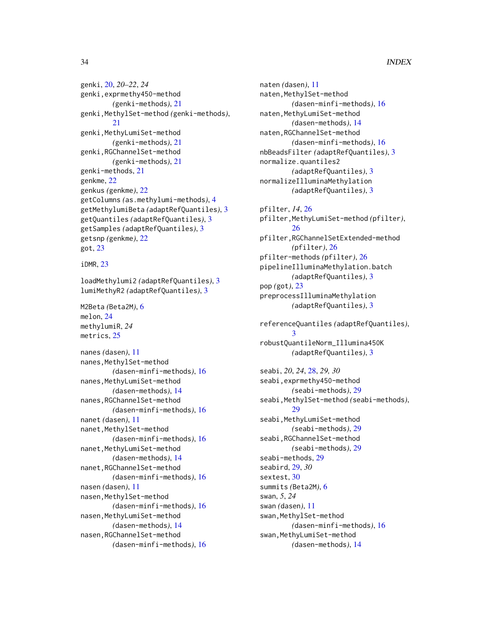# 34 INDEX

genki, [20,](#page-19-0) *20–22*, *24* genki,exprmethy450-method *(*genki-methods*)*, [21](#page-20-0) genki,MethylSet-method *(*genki-methods*)*, [21](#page-20-0) genki, MethyLumiSet-method *(*genki-methods*)*, [21](#page-20-0) genki,RGChannelSet-method *(*genki-methods*)*, [21](#page-20-0) genki-methods, [21](#page-20-0) genkme, [22](#page-21-0) genkus *(*genkme*)*, [22](#page-21-0) getColumns *(*as.methylumi-methods*)*, [4](#page-3-0) getMethylumiBeta *(*adaptRefQuantiles*)*, [3](#page-2-0) getQuantiles *(*adaptRefQuantiles*)*, [3](#page-2-0) getSamples *(*adaptRefQuantiles*)*, [3](#page-2-0) getsnp *(*genkme*)*, [22](#page-21-0) got, [23](#page-22-0)

iDMR, [23](#page-22-0)

loadMethylumi2 *(*adaptRefQuantiles*)*, [3](#page-2-0) lumiMethyR2 *(*adaptRefQuantiles*)*, [3](#page-2-0)

M2Beta *(*Beta2M*)*, [6](#page-5-0) melon, [24](#page-23-0) methylumiR, *24* metrics, [25](#page-24-0)

nanes *(*dasen*)*, [11](#page-10-0) nanes, MethylSet-method *(*dasen-minfi-methods*)*, [16](#page-15-0) nanes, MethyLumiSet-method *(*dasen-methods*)*, [14](#page-13-0) nanes,RGChannelSet-method *(*dasen-minfi-methods*)*, [16](#page-15-0) nanet *(*dasen*)*, [11](#page-10-0) nanet, MethylSet-method *(*dasen-minfi-methods*)*, [16](#page-15-0) nanet,MethyLumiSet-method *(*dasen-methods*)*, [14](#page-13-0) nanet,RGChannelSet-method *(*dasen-minfi-methods*)*, [16](#page-15-0) nasen *(*dasen*)*, [11](#page-10-0) nasen,MethylSet-method *(*dasen-minfi-methods*)*, [16](#page-15-0) nasen,MethyLumiSet-method *(*dasen-methods*)*, [14](#page-13-0) nasen,RGChannelSet-method *(*dasen-minfi-methods*)*, [16](#page-15-0)

naten *(*dasen*)*, [11](#page-10-0) naten, MethylSet-method *(*dasen-minfi-methods*)*, [16](#page-15-0) naten,MethyLumiSet-method *(*dasen-methods*)*, [14](#page-13-0) naten,RGChannelSet-method *(*dasen-minfi-methods*)*, [16](#page-15-0) nbBeadsFilter *(*adaptRefQuantiles*)*, [3](#page-2-0) normalize.quantiles2 *(*adaptRefQuantiles*)*, [3](#page-2-0) normalizeIlluminaMethylation *(*adaptRefQuantiles*)*, [3](#page-2-0)

pfilter, *14*, [26](#page-25-0) pfilter,MethyLumiSet-method *(*pfilter*)*, [26](#page-25-0) pfilter,RGChannelSetExtended-method *(*pfilter*)*, [26](#page-25-0) pfilter-methods *(*pfilter*)*, [26](#page-25-0) pipelineIlluminaMethylation.batch *(*adaptRefQuantiles*)*, [3](#page-2-0) pop *(*got*)*, [23](#page-22-0) preprocessIlluminaMethylation *(*adaptRefQuantiles*)*, [3](#page-2-0)

referenceQuantiles *(*adaptRefQuantiles*)*, [3](#page-2-0) robustQuantileNorm\_Illumina450K *(*adaptRefQuantiles*)*, [3](#page-2-0)

seabi, *20*, *24*, [28,](#page-27-0) *29, 30* seabi,exprmethy450-method *(*seabi-methods*)*, [29](#page-28-0) seabi, MethylSet-method *(seabi-methods)*, [29](#page-28-0) seabi, MethyLumiSet-method *(*seabi-methods*)*, [29](#page-28-0) seabi,RGChannelSet-method *(*seabi-methods*)*, [29](#page-28-0) seabi-methods, [29](#page-28-0) seabird, [29,](#page-28-0) *30* sextest, [30](#page-29-0) summits *(*Beta2M*)*, [6](#page-5-0) swan, *5*, *24* swan *(*dasen*)*, [11](#page-10-0) swan, MethylSet-method *(*dasen-minfi-methods*)*, [16](#page-15-0) swan, MethyLumiSet-method *(*dasen-methods*)*, [14](#page-13-0)